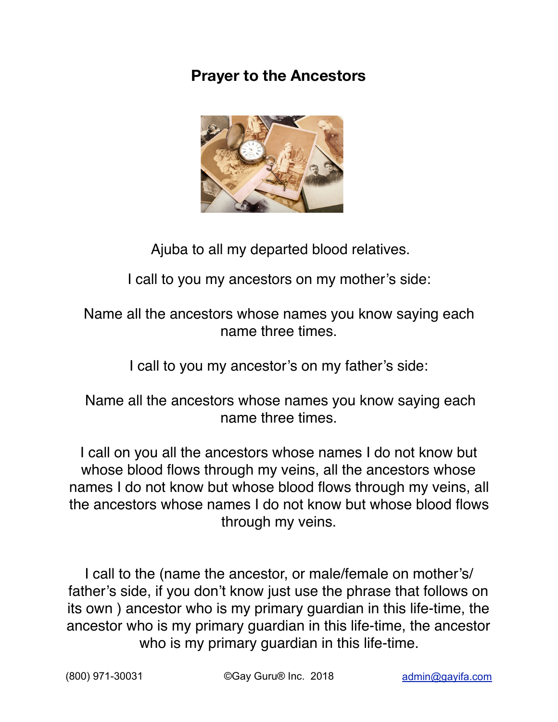## **Prayer to the Ancestors**



Ajuba to all my departed blood relatives.

I call to you my ancestors on my mother's side:

## Name all the ancestors whose names you know saying each name three times.

I call to you my ancestor's on my father's side:

## Name all the ancestors whose names you know saying each name three times.

I call on you all the ancestors whose names I do not know but whose blood flows through my veins, all the ancestors whose names I do not know but whose blood flows through my veins, all the ancestors whose names I do not know but whose blood flows through my veins.

I call to the (name the ancestor, or male/female on mother's/ father's side, if you don't know just use the phrase that follows on its own ) ancestor who is my primary guardian in this life-time, the ancestor who is my primary guardian in this life-time, the ancestor who is my primary guardian in this life-time.